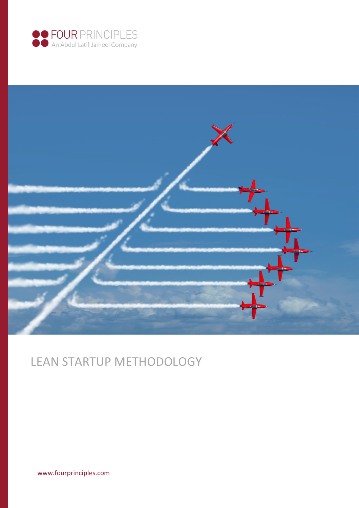



# LEAN STARTUP METHODOLOGY

[www.fourprinciples.com](http://www.fourprinciples.com/)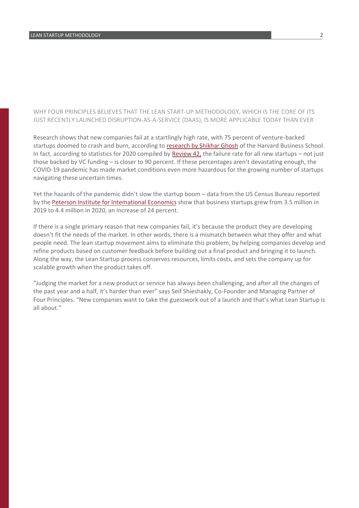### WHY FOUR PRINCIPLES BELIEVES THAT THE LEAN START-UP METHODOLOGY, WHICH IS THE CORE OF ITS JUST RECENTLY LAUNCHED DISRUPTION-AS-A-SERVICE (DAAS), IS MORE APPLICABLE TODAY THAN EVER

Research shows that new companies fail at a startlingly high rate, with 75 percent of venture-backed startups doomed to crash and burn, according to [research by Shikhar Ghosh](https://www.inc.com/john-mcdermott/report-3-out-of-4-venture-backed-start-ups-fail.html#:~:text=About%2075%25%20of%20U.S.%20venture,School%20senior%20lecturer%20Shikhar%20Ghosh.&text=Ghosh) of the Harvard Business School. In fact, according to statistics for 2020 compiled by Review  $42$ , the failure rate for all new startups – not just those backed by VC funding – is closer to 90 percent. If these percentages aren't devastating enough, the COVID-19 pandemic has made market conditions even more hazardous for the growing number of startups navigating these uncertain times.

Yet the hazards of the pandemic didn't slow the startup boom – data from the US Census Bureau reported by the Peterson Institute for International Economics show that business startups grew from 3.5 million in 2019 to 4.4 million in 2020, an increase of 24 percent.

If there is a single primary reason that new companies fail, it's because the product they are developing doesn't fit the needs of the market. In other words, there is a mismatch between what they offer and what people need. The lean startup movement aims to eliminate this problem, by helping companies develop and refine products based on customer feedback before building out a final product and bringing it to launch. Along the way, the Lean Startup process conserves resources, limits costs, and sets the company up for scalable growth when the product takes off.

"Judging the market for a new product or service has always been challenging, and after all the changes of the past year and a half, it's harder than ever" says Seif Shieshakly, Co-Founder and Managing Partner of Four Principles. "New companies want to take the guesswork out of a launch and that's what Lean Startup is all about."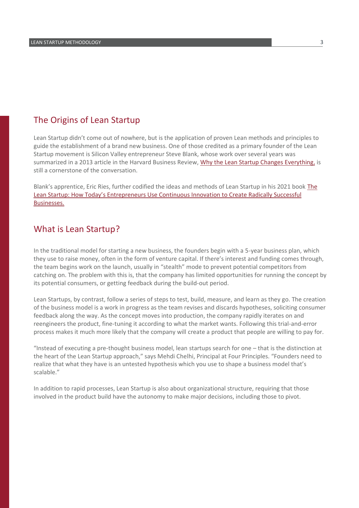## The Origins of Lean Startup

Lean Startup didn't come out of nowhere, but is the application of proven Lean methods and principles to guide the establishment of a brand new business. One of those credited as a primary founder of the Lean Startup movement is Silicon Valley entrepreneur Steve Blank, whose work over several years was summarized in a 2013 article in the Harvard Business Review, [Why the Lean Startup Changes Everything,](https://hbr.org/2013/05/why-the-lean-start-up-changes-everything) is still a cornerstone of the conversation.

Blank's apprentice, Eric Ries, further codified the ideas and methods of Lean Startup in his 2021 book The [Lean Startup: How Today's Entrepreneurs Use Continuous Innovation to Create Radically Successful](http://theleanstartup.com/)  [Businesses.](http://theleanstartup.com/)

## What is Lean Startup?

In the traditional model for starting a new business, the founders begin with a 5-year business plan, which they use to raise money, often in the form of venture capital. If there's interest and funding comes through, the team begins work on the launch, usually in "stealth" mode to prevent potential competitors from catching on. The problem with this is, that the company has limited opportunities for running the concept by its potential consumers, or getting feedback during the build-out period.

Lean Startups, by contrast, follow a series of steps to test, build, measure, and learn as they go. The creation of the business model is a work in progress as the team revises and discards hypotheses, soliciting consumer feedback along the way. As the concept moves into production, the company rapidly iterates on and reengineers the product, fine-tuning it according to what the market wants. Following this trial-and-error process makes it much more likely that the company will create a product that people are willing to pay for.

"Instead of executing a pre-thought business model, lean startups search for one – that is the distinction at the heart of the Lean Startup approach," says Mehdi Chelhi, Principal at Four Principles. "Founders need to realize that what they have is an untested hypothesis which you use to shape a business model that's scalable."

In addition to rapid processes, Lean Startup is also about organizational structure, requiring that those involved in the product build have the autonomy to make major decisions, including those to pivot.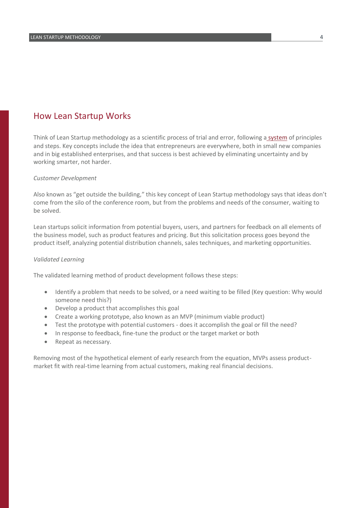## How Lean Startup Works

Think of Lean Startup methodology as a scientific process of trial and error, following a [system](http://theleanstartup.com/principles) of principles and steps. Key concepts include the idea that entrepreneurs are everywhere, both in small new companies and in big established enterprises, and that success is best achieved by eliminating uncertainty and by working smarter, not harder.

#### *Customer Development*

Also known as "get outside the building," this key concept of Lean Startup methodology says that ideas don't come from the silo of the conference room, but from the problems and needs of the consumer, waiting to be solved.

Lean startups solicit information from potential buyers, users, and partners for feedback on all elements of the business model, such as product features and pricing. But this solicitation process goes beyond the product itself, analyzing potential distribution channels, sales techniques, and marketing opportunities.

#### *Validated Learning*

The validated learning method of product development follows these steps:

- Identify a problem that needs to be solved, or a need waiting to be filled (Key question: Why would someone need this?)
- Develop a product that accomplishes this goal
- Create a working prototype, also known as an MVP (minimum viable product)
- Test the prototype with potential customers does it accomplish the goal or fill the need?
- In response to feedback, fine-tune the product or the target market or both
- Repeat as necessary.

Removing most of the hypothetical element of early research from the equation, MVPs assess productmarket fit with real-time learning from actual customers, making real financial decisions.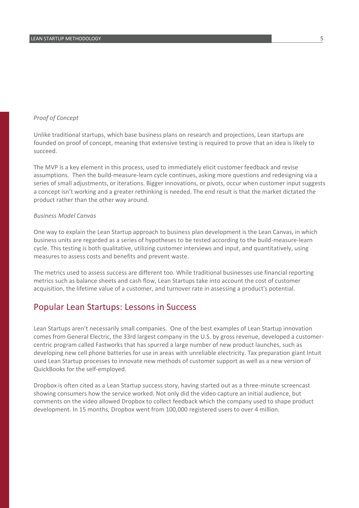### *Proof of Concept*

Unlike traditional startups, which base business plans on research and projections, Lean startups are founded on proof of concept, meaning that extensive testing is required to prove that an idea is likely to succeed.

The MVP is a key element in this process, used to immediately elicit customer feedback and revise assumptions. Then the build-measure-learn cycle continues, asking more questions and redesigning via a series of small adjustments, or iterations. Bigger innovations, or pivots, occur when customer input suggests a concept isn't working and a greater rethinking is needed. The end result is that the market dictated the product rather than the other way around.

#### *Business Model Canvas*

One way to explain the Lean Startup approach to business plan development is the Lean Canvas, in which business units are regarded as a series of hypotheses to be tested according to the build-measure-learn cycle. This testing is both qualitative, utilizing customer interviews and input, and quantitatively, using measures to assess costs and benefits and prevent waste.

The metrics used to assess success are different too. While traditional businesses use financial reporting metrics such as balance sheets and cash flow, Lean Startups take into account the cost of customer acquisition, the lifetime value of a customer, and turnover rate in assessing a product's potential.

## Popular Lean Startups: Lessons in Success

Lean Startups aren't necessarily small companies. One of the best examples of Lean Startup innovation comes from General Electric, the 33rd largest company in the U.S. by gross revenue, developed a customercentric program called Fastworks that has spurred a large number of new product launches, such as developing new cell phone batteries for use in areas with unreliable electricity. Tax preparation giant Intuit used Lean Startup processes to innovate new methods of customer support as well as a new version of QuickBooks for the self-employed.

Dropbox is often cited as a Lean Startup success story, having started out as a three-minute screencast showing consumers how the service worked. Not only did the video capture an initial audience, but comments on the video allowed Dropbox to collect feedback which the company used to shape product development. In 15 months, Dropbox went from 100,000 registered users to over 4 million.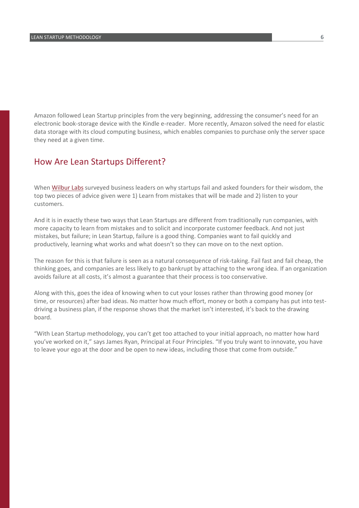Amazon followed Lean Startup principles from the very beginning, addressing the consumer's need for an electronic book-storage device with the Kindle e-reader. More recently, Amazon solved the need for elastic data storage with its cloud computing business, which enables companies to purchase only the server space they need at a given time.

## How Are Lean Startups Different?

Whe[n Wilbur Labs](https://www.wilburlabs.com/blueprints/why-startups-fail) surveyed business leaders on why startups fail and asked founders for their wisdom, the top two pieces of advice given were 1) Learn from mistakes that will be made and 2) listen to your customers.

And it is in exactly these two ways that Lean Startups are different from traditionally run companies, with more capacity to learn from mistakes and to solicit and incorporate customer feedback. And not just mistakes, but failure; in Lean Startup, failure is a good thing. Companies want to fail quickly and productively, learning what works and what doesn't so they can move on to the next option.

The reason for this is that failure is seen as a natural consequence of risk-taking. Fail fast and fail cheap, the thinking goes, and companies are less likely to go bankrupt by attaching to the wrong idea. If an organization avoids failure at all costs, it's almost a guarantee that their process is too conservative.

Along with this, goes the idea of knowing when to cut your losses rather than throwing good money (or time, or resources) after bad ideas. No matter how much effort, money or both a company has put into testdriving a business plan, if the response shows that the market isn't interested, it's back to the drawing board.

"With Lean Startup methodology, you can't get too attached to your initial approach, no matter how hard you've worked on it," says James Ryan, Principal at Four Principles. "If you truly want to innovate, you have to leave your ego at the door and be open to new ideas, including those that come from outside."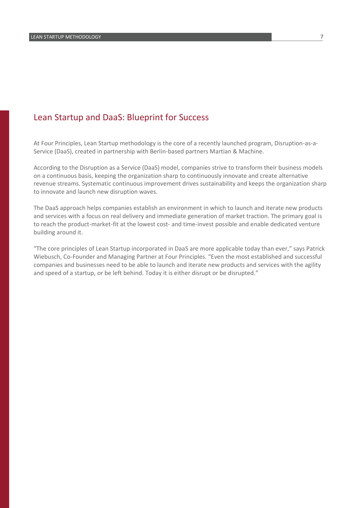## Lean Startup and DaaS: Blueprint for Success

At Four Principles, Lean Startup methodology is the core of a recently launched program, Disruption-as-a-Service (DaaS), created in partnership with Berlin-based partners Martian & Machine.

According to the Disruption as a Service (DaaS) model, companies strive to transform their business models on a continuous basis, keeping the organization sharp to continuously innovate and create alternative revenue streams. Systematic continuous improvement drives sustainability and keeps the organization sharp to innovate and launch new disruption waves.

The DaaS approach helps companies establish an environment in which to launch and iterate new products and services with a focus on real delivery and immediate generation of market traction. The primary goal is to reach the product-market-fit at the lowest cost- and time-invest possible and enable dedicated venture building around it.

"The core principles of Lean Startup incorporated in DaaS are more applicable today than ever," says Patrick Wiebusch, Co-Founder and Managing Partner at Four Principles. "Even the most established and successful companies and businesses need to be able to launch and iterate new products and services with the agility and speed of a startup, or be left behind. Today it is either disrupt or be disrupted."